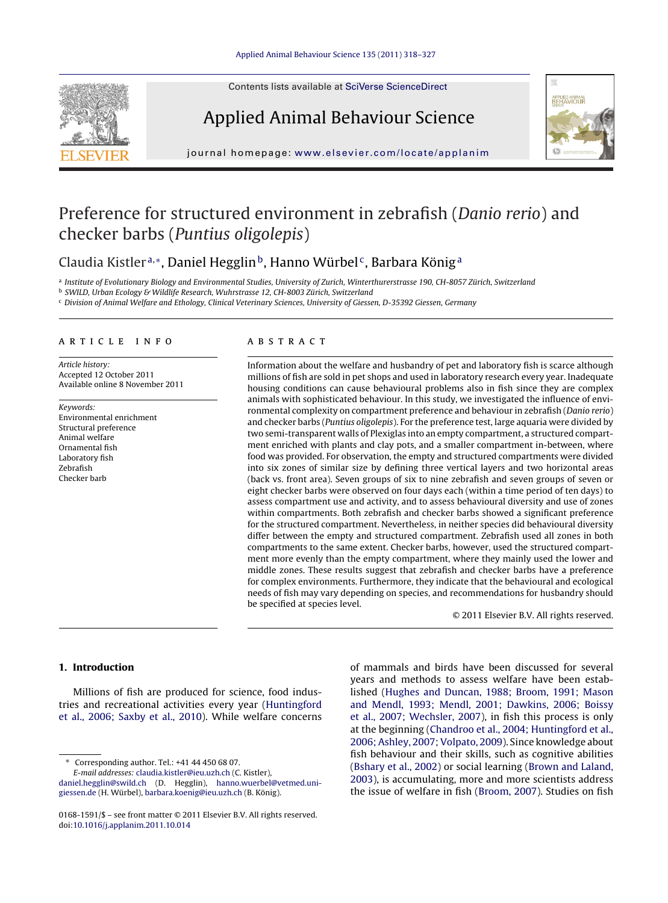Contents lists available at SciVerse [ScienceDirect](http://www.sciencedirect.com/science/journal/01681591)

# Applied Animal Behaviour Science



journal homepage: [www.elsevier.com/locate/applanim](http://www.elsevier.com/locate/applanim)

## <span id="page-0-2"></span><span id="page-0-0"></span>Preference for structured environment in zebrafish (Danio rerio) and checker barbs (Puntius oligolepis)

<span id="page-0-3"></span>Cl[a](#page-0-0)udia Kistler<sup>a,∗</sup>, [Da](#page-0-1)niel Hegglin<sup>b</sup>, Hanno Würbel<sup>c</sup>, [Ba](#page-0-3)rbara König<sup>a</sup>

a Institute of Evolutionary Biology and Environmental Studies, University of Zurich, Winterthurerstrasse 190, CH-8057 Zürich, Switzerland

<sup>b</sup> SWILD, Urban Ecology & Wildlife Research, Wuhrstrasse 12, CH-8003 Zürich, Switzerland

<sup>c</sup> Division of Animal Welfare and Ethology, Clinical Veterinary Sciences, University of Giessen, D-35392 Giessen, Germany

#### a r t i c l e i n f o

Article history: Accepted 12 October 2011 Available online 8 November 2011

Keywords: Environmental enrichment Structural preference Animal welfare Ornamental fish Laboratory fish Zebrafish Checker barb

## A B S T R A C T

Information about the welfare and husbandry of pet and laboratory fish is scarce although millions of fish are sold in pet shops and used in laboratory research every year. Inadequate housing conditions can cause behavioural problems also in fish since they are complex animals with sophisticated behaviour. In this study, we investigated the influence of environmental complexity on compartment preference and behaviour in zebrafish (Danio rerio) and checker barbs (Puntius oligolepis). For the preference test, large aquaria were divided by two semi-transparent walls of Plexiglas into an empty compartment, a structured compartment enriched with plants and clay pots, and a smaller compartment in-between, where food was provided. For observation, the empty and structured compartments were divided into six zones of similar size by defining three vertical layers and two horizontal areas (back vs. front area). Seven groups of six to nine zebrafish and seven groups of seven or eight checker barbs were observed on four days each (within a time period of ten days) to assess compartment use and activity, and to assess behavioural diversity and use of zones within compartments. Both zebrafish and checker barbs showed a significant preference for the structured compartment. Nevertheless, in neither species did behavioural diversity differ between the empty and structured compartment. Zebrafish used all zones in both compartments to the same extent. Checker barbs, however, used the structured compartment more evenly than the empty compartment, where they mainly used the lower and middle zones. These results suggest that zebrafish and checker barbs have a preference for complex environments. Furthermore, they indicate that the behavioural and ecological needs of fish may vary depending on species, and recommendations for husbandry should be specified at species level.

© 2011 Elsevier B.V. All rights reserved.

## 1. Introduction

<span id="page-0-1"></span>Millions of fish are produced for science, food industries and recreational activities every year [\(Huntingford](#page-8-0) et [al.,](#page-8-0) [2006;](#page-8-0) [Saxby](#page-8-0) et [al.,](#page-8-0) [2010\).](#page-8-0) While welfare concerns of mammals and birds have been discussed for several years and methods to assess welfare have been established [\(Hughes](#page-8-1) [and](#page-8-1) [Duncan,](#page-8-1) [1988;](#page-8-1) [Broom,](#page-8-1) [1991;](#page-8-1) [Mason](#page-8-1) [and](#page-8-1) [Mendl,](#page-8-1) [1993;](#page-8-1) [Mendl,](#page-8-1) [2001;](#page-8-1) [Dawkins,](#page-8-1) [2006;](#page-8-1) [Boissy](#page-8-1) et [al.,](#page-8-1) [2007;](#page-8-1) [Wechsler,](#page-8-1) [2007\),](#page-8-1) in fish this process is only at the beginning [\(Chandroo](#page-8-2) et [al.,](#page-8-2) [2004;](#page-8-2) [Huntingford](#page-8-2) et [al.,](#page-8-2) [2006;Ashley,](#page-8-2) [2007;Volpato,](#page-8-2) [2009\).](#page-8-2) Since knowledge about fish behaviour and their skills, such as cognitive abilities [\(Bshary](#page-8-3) et [al.,](#page-8-3) [2002\)](#page-8-3) or social learning ([Brown](#page-8-4) [and](#page-8-4) [Laland,](#page-8-4) [2003\),](#page-8-4) is accumulating, more and more scientists address the issue of welfare in fish ([Broom,](#page-8-5) [2007\).](#page-8-5) Studies on fish

<sup>∗</sup> Corresponding author. Tel.: +41 44 450 68 07.

E-mail addresses: [claudia.kistler@ieu.uzh.ch](mailto:claudia.kistler@ieu.uzh.ch) (C. Kistler), [daniel.hegglin@swild.ch](mailto:daniel.hegglin@swild.ch) (D. Hegglin), [hanno.wuerbel@vetmed.uni](mailto:hanno.wuerbel@vetmed.uni-giessen.de)giessen.de (H. Würbel), [barbara.koenig@ieu.uzh.ch](mailto:barbara.koenig@ieu.uzh.ch) (B. König).

<sup>0168-1591/\$</sup> – see front matter © 2011 Elsevier B.V. All rights reserved. doi:[10.1016/j.applanim.2011.10.014](dx.doi.org/10.1016/j.applanim.2011.10.014)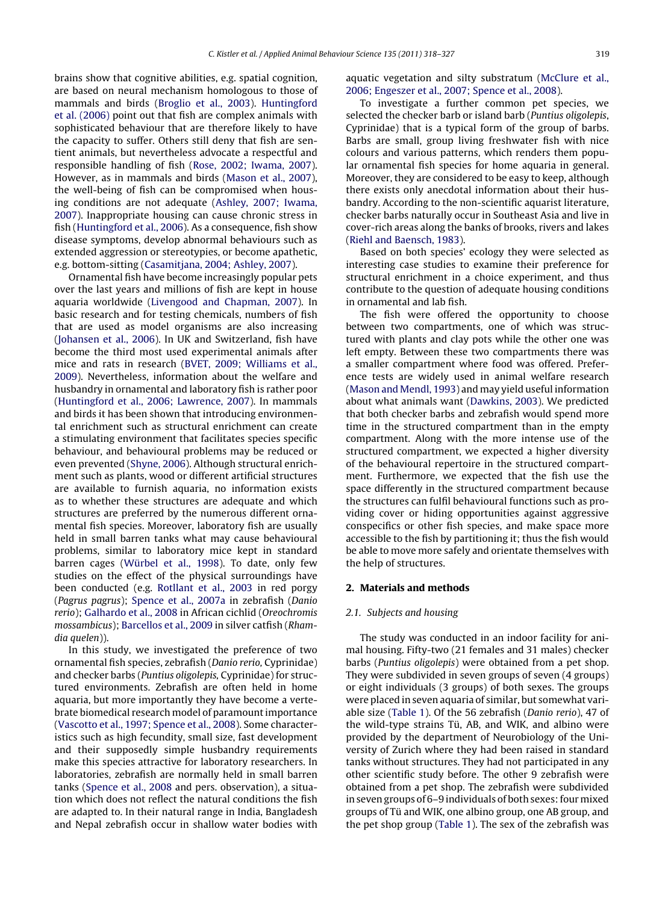brains show that cognitive abilities, e.g. spatial cognition, are based on neural mechanism homologous to those of mammals and birds ([Broglio](#page-8-6) et [al.,](#page-8-6) [2003\).](#page-8-6) [Huntingford](#page-8-0) et [al.](#page-8-0) [\(2006\)](#page-8-0) point out that fish are complex animals with sophisticated behaviour that are therefore likely to have the capacity to suffer. Others still deny that fish are sentient animals, but nevertheless advocate a respectful and responsible handling of fish ([Rose,](#page-9-0) [2002;](#page-9-0) [Iwama,](#page-9-0) [2007\).](#page-9-0) However, as in mammals and birds ([Mason](#page-9-1) et [al.,](#page-9-1) [2007\),](#page-9-1) the well-being of fish can be compromised when housing conditions are not adequate ([Ashley,](#page-8-7) [2007;](#page-8-7) [Iwama,](#page-8-7) [2007\).](#page-8-7) Inappropriate housing can cause chronic stress in fish ([Huntingford](#page-8-0) et [al.,](#page-8-0) [2006\).](#page-8-0) As a consequence, fish show disease symptoms, develop abnormal behaviours such as extended aggression or stereotypies, or become apathetic, e.g. bottom-sitting [\(Casamitjana,](#page-8-8) [2004;](#page-8-8) [Ashley,](#page-8-8) [2007\).](#page-8-8)

Ornamental fish have become increasingly popular pets over the last years and millions of fish are kept in house aquaria worldwide ([Livengood](#page-8-9) [and](#page-8-9) [Chapman,](#page-8-9) [2007\).](#page-8-9) In basic research and for testing chemicals, numbers of fish that are used as model organisms are also increasing [\(Johansen](#page-8-10) et [al.,](#page-8-10) [2006\).](#page-8-10) In UK and Switzerland, fish have become the third most used experimental animals after mice and rats in research ([BVET,](#page-8-11) [2009;](#page-8-11) [Williams](#page-8-11) et [al.,](#page-8-11) [2009\).](#page-8-11) Nevertheless, information about the welfare and husbandry in ornamental and laboratory fish is rather poor [\(Huntingford](#page-8-0) et [al.,](#page-8-0) [2006;](#page-8-0) [Lawrence,](#page-8-0) [2007\).](#page-8-0) In mammals and birds it has been shown that introducing environmental enrichment such as structural enrichment can create a stimulating environment that facilitates species specific behaviour, and behavioural problems may be reduced or even prevented [\(Shyne,](#page-9-2) [2006\).](#page-9-2) Although structural enrichment such as plants, wood or different artificial structures are available to furnish aquaria, no information exists as to whether these structures are adequate and which structures are preferred by the numerous different ornamental fish species. Moreover, laboratory fish are usually held in small barren tanks what may cause behavioural problems, similar to laboratory mice kept in standard barren cages ([Würbel](#page-9-3) et [al.,](#page-9-3) [1998\).](#page-9-3) To date, only few studies on the effect of the physical surroundings have been conducted (e.g. [Rotllant](#page-9-4) et [al.,](#page-9-4) [2003](#page-9-4) in red porgy (Pagrus pagrus); [Spence](#page-9-1) et [al.,](#page-9-1) [2007a](#page-9-1) in zebrafish (Danio rerio); [Galhardo](#page-8-12) et [al.,](#page-8-12) [2008](#page-8-12) in African cichlid (Oreochromis mossambicus); [Barcellos](#page-8-13) et [al.,](#page-8-13) [2009](#page-8-13) in silver catfish (Rhamdia quelen)).

In this study, we investigated the preference of two ornamental fish species, zebrafish (Danio rerio, Cyprinidae) and checker barbs (Puntius oligolepis, Cyprinidae) for structured environments. Zebrafish are often held in home aquaria, but more importantly they have become a vertebrate biomedical research model of paramountimportance [\(Vascotto](#page-9-5) et [al.,](#page-9-5) [1997;](#page-9-5) [Spence](#page-9-5) et [al.,](#page-9-5) [2008\).](#page-9-5) Some characteristics such as high fecundity, small size, fast development and their supposedly simple husbandry requirements make this species attractive for laboratory researchers. In laboratories, zebrafish are normally held in small barren tanks ([Spence](#page-9-6) et [al.,](#page-9-6) [2008](#page-9-6) and pers. observation), a situation which does not reflect the natural conditions the fish are adapted to. In their natural range in India, Bangladesh and Nepal zebrafish occur in shallow water bodies with aquatic vegetation and silty substratum [\(McClure](#page-9-7) et [al.,](#page-9-7) [2006;](#page-9-7) [Engeszer](#page-9-7) et [al.,](#page-9-7) [2007;](#page-9-7) [Spence](#page-9-7) et [al.,](#page-9-7) [2008\).](#page-9-7)

To investigate a further common pet species, we selected the checker barb or island barb (Puntius oligolepis, Cyprinidae) that is a typical form of the group of barbs. Barbs are small, group living freshwater fish with nice colours and various patterns, which renders them popular ornamental fish species for home aquaria in general. Moreover, they are considered to be easy to keep, although there exists only anecdotal information about their husbandry. According to the non-scientific aquarist literature, checker barbs naturally occur in Southeast Asia and live in cover-rich areas along the banks of brooks, rivers and lakes [\(Riehl](#page-9-8) [and](#page-9-8) [Baensch,](#page-9-8) [1983\).](#page-9-8)

Based on both species' ecology they were selected as interesting case studies to examine their preference for structural enrichment in a choice experiment, and thus contribute to the question of adequate housing conditions in ornamental and lab fish.

The fish were offered the opportunity to choose between two compartments, one of which was structured with plants and clay pots while the other one was left empty. Between these two compartments there was a smaller compartment where food was offered. Preference tests are widely used in animal welfare research [\(Mason](#page-9-9) [and](#page-9-9) [Mendl,](#page-9-9) [1993\)](#page-9-9) and may yield useful information about what animals want ([Dawkins,](#page-8-14) [2003\).](#page-8-14) We predicted that both checker barbs and zebrafish would spend more time in the structured compartment than in the empty compartment. Along with the more intense use of the structured compartment, we expected a higher diversity of the behavioural repertoire in the structured compartment. Furthermore, we expected that the fish use the space differently in the structured compartment because the structures can fulfil behavioural functions such as providing cover or hiding opportunities against aggressive conspecifics or other fish species, and make space more accessible to the fish by partitioning it; thus the fish would be able to move more safely and orientate themselves with the help of structures.

#### 2. Materials and methods

#### 2.1. Subjects and housing

The study was conducted in an indoor facility for animal housing. Fifty-two (21 females and 31 males) checker barbs (Puntius oligolepis) were obtained from a pet shop. They were subdivided in seven groups of seven (4 groups) or eight individuals (3 groups) of both sexes. The groups were placed in seven aquaria of similar, but somewhat variable size ([Table](#page-2-0) 1). Of the 56 zebrafish (Danio rerio), 47 of the wild-type strains Tü, AB, and WIK, and albino were provided by the department of Neurobiology of the University of Zurich where they had been raised in standard tanks without structures. They had not participated in any other scientific study before. The other 9 zebrafish were obtained from a pet shop. The zebrafish were subdivided in seven groups of 6-9 individuals of both sexes: four mixed groups of Tü and WIK, one albino group, one AB group, and the pet shop group [\(Table](#page-2-0) 1). The sex of the zebrafish was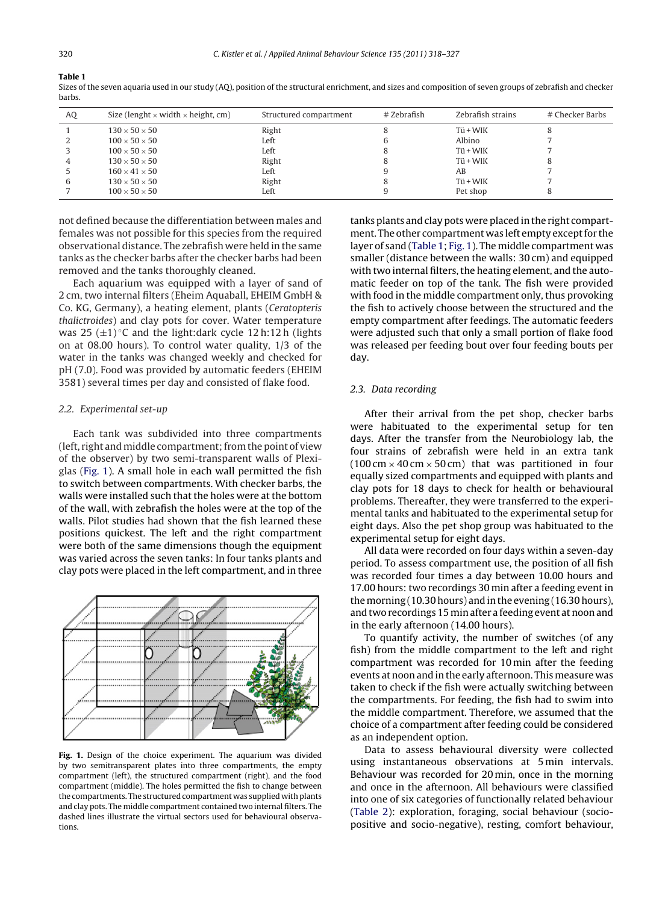#### <span id="page-2-0"></span>Table 1

Sizes of the seven aquaria used in our study (AQ), position of the structural enrichment, and sizes and composition of seven groups of zebrafish and checker barbs.

| AQ | Size (lenght $\times$ width $\times$ height, cm) | Structured compartment | # Zebrafish | Zebrafish strains | # Checker Barbs |
|----|--------------------------------------------------|------------------------|-------------|-------------------|-----------------|
|    | $130 \times 50 \times 50$                        | Right                  |             | Tü + WIK          |                 |
|    | $100 \times 50 \times 50$                        | Left                   |             | Albino            |                 |
|    | $100 \times 50 \times 50$                        | Left                   |             | Tü + WIK          |                 |
| 4  | $130 \times 50 \times 50$                        | Right                  |             | Tü + WIK          |                 |
|    | $160 \times 41 \times 50$                        | Left                   |             | AB                |                 |
| 6  | $130 \times 50 \times 50$                        | Right                  |             | Tü + WIK          |                 |
|    | $100 \times 50 \times 50$                        | Left                   |             | Pet shop          |                 |

not defined because the differentiation between males and females was not possible for this species from the required observational distance. The zebrafish were held in the same tanks as the checker barbs after the checker barbs had been removed and the tanks thoroughly cleaned.

Each aquarium was equipped with a layer of sand of 2 cm, two internal filters (Eheim Aquaball, EHEIM GmbH & Co. KG, Germany), a heating element, plants (Ceratopteris thalictroides) and clay pots for cover. Water temperature was 25  $(\pm 1)$ °C and the light:dark cycle 12 h:12 h (lights on at 08.00 hours). To control water quality, 1/3 of the water in the tanks was changed weekly and checked for pH (7.0). Food was provided by automatic feeders (EHEIM 3581) several times per day and consisted of flake food.

#### 2.2. Experimental set-up

Each tank was subdivided into three compartments (left, right and middle compartment; from the point of view of the observer) by two semi-transparent walls of Plexiglas ([Fig.](#page-2-1) 1). A small hole in each wall permitted the fish to switch between compartments. With checker barbs, the walls were installed such that the holes were at the bottom of the wall, with zebrafish the holes were at the top of the walls. Pilot studies had shown that the fish learned these positions quickest. The left and the right compartment were both of the same dimensions though the equipment was varied across the seven tanks: In four tanks plants and clay pots were placed in the left compartment, and in three

<span id="page-2-1"></span>

Fig. 1. Design of the choice experiment. The aquarium was divided by two semitransparent plates into three compartments, the empty compartment (left), the structured compartment (right), and the food compartment (middle). The holes permitted the fish to change between the compartments. The structured compartment was supplied with plants and clay pots. The middle compartment contained two internal filters. The dashed lines illustrate the virtual sectors used for behavioural observations.

tanks plants and clay pots were placed in the right compartment. The other compartment was left empty except for the layer of sand ([Table](#page-2-0) 1; [Fig.](#page-2-1) 1). The middle compartment was smaller (distance between the walls: 30 cm) and equipped with two internal filters, the heating element, and the automatic feeder on top of the tank. The fish were provided with food in the middle compartment only, thus provoking the fish to actively choose between the structured and the empty compartment after feedings. The automatic feeders were adjusted such that only a small portion of flake food was released per feeding bout over four feeding bouts per day.

#### 2.3. Data recording

After their arrival from the pet shop, checker barbs were habituated to the experimental setup for ten days. After the transfer from the Neurobiology lab, the four strains of zebrafish were held in an extra tank (100 cm  $\times$  40 cm  $\times$  50 cm) that was partitioned in four equally sized compartments and equipped with plants and clay pots for 18 days to check for health or behavioural problems. Thereafter, they were transferred to the experimental tanks and habituated to the experimental setup for eight days. Also the pet shop group was habituated to the experimental setup for eight days.

All data were recorded on four days within a seven-day period. To assess compartment use, the position of all fish was recorded four times a day between 10.00 hours and 17.00 hours: two recordings 30 min after a feeding event in the morning (10.30 hours) and in the evening (16.30 hours), and two recordings 15 min after a feeding event at noon and in the early afternoon (14.00 hours).

To quantify activity, the number of switches (of any fish) from the middle compartment to the left and right compartment was recorded for 10 min after the feeding events at noon and in the early afternoon. This measure was taken to check if the fish were actually switching between the compartments. For feeding, the fish had to swim into the middle compartment. Therefore, we assumed that the choice of a compartment after feeding could be considered as an independent option.

Data to assess behavioural diversity were collected using instantaneous observations at 5 min intervals. Behaviour was recorded for 20 min, once in the morning and once in the afternoon. All behaviours were classified into one of six categories of functionally related behaviour [\(Table](#page-3-0) 2): exploration, foraging, social behaviour (sociopositive and socio-negative), resting, comfort behaviour,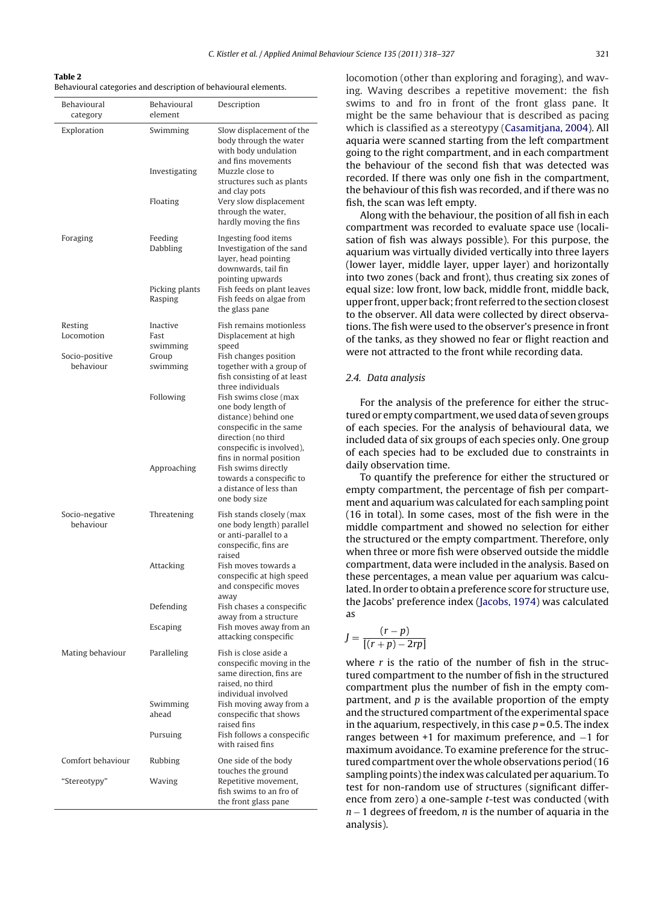<span id="page-3-0"></span>Table 2

Behavioural categories and description of behavioural elements.

| Behavioural<br>category     | Behavioural<br>element       | Description                                                                                                                                                                   |  |
|-----------------------------|------------------------------|-------------------------------------------------------------------------------------------------------------------------------------------------------------------------------|--|
| Exploration                 | Swimming                     | Slow displacement of the<br>body through the water<br>with body undulation<br>and fins movements                                                                              |  |
|                             | Investigating                | Muzzle close to<br>structures such as plants                                                                                                                                  |  |
|                             | Floating                     | and clay pots<br>Very slow displacement<br>through the water,<br>hardly moving the fins                                                                                       |  |
| Foraging                    | Feeding<br>Dabbling          | Ingesting food items<br>Investigation of the sand<br>layer, head pointing<br>downwards, tail fin<br>pointing upwards                                                          |  |
|                             | Picking plants<br>Rasping    | Fish feeds on plant leaves<br>Fish feeds on algae from<br>the glass pane                                                                                                      |  |
| Resting<br>Locomotion       | Inactive<br>Fast<br>swimming | Fish remains motionless<br>Displacement at high<br>speed                                                                                                                      |  |
| Socio-positive<br>behaviour | Group<br>swimming            | Fish changes position<br>together with a group of<br>fish consisting of at least<br>three individuals                                                                         |  |
|                             | Following                    | Fish swims close (max<br>one body length of<br>distance) behind one<br>conspecific in the same<br>direction (no third<br>conspecific is involved),<br>fins in normal position |  |
|                             | Approaching                  | Fish swims directly<br>towards a conspecific to<br>a distance of less than<br>one body size                                                                                   |  |
| Socio-negative<br>behaviour | Threatening                  | Fish stands closely (max<br>one body length) parallel<br>or anti-parallel to a<br>conspecific, fins are<br>raised                                                             |  |
|                             | Attacking                    | Fish moves towards a<br>conspecific at high speed<br>and conspecific moves<br>away                                                                                            |  |
|                             | Defending                    | Fish chases a conspecific<br>away from a structure                                                                                                                            |  |
|                             | Escaping                     | Fish moves away from an<br>attacking conspecific                                                                                                                              |  |
| Mating behaviour            | Paralleling                  | Fish is close aside a<br>conspecific moving in the<br>same direction, fins are<br>raised, no third<br>individual involved                                                     |  |
|                             | Swimming<br>ahead            | Fish moving away from a<br>conspecific that shows<br>raised fins                                                                                                              |  |
|                             | Pursuing                     | Fish follows a conspecific<br>with raised fins                                                                                                                                |  |
| Comfort behaviour           | Rubbing                      | One side of the body<br>touches the ground                                                                                                                                    |  |
| "Stereotypy"                | Waving                       | Repetitive movement,<br>fish swims to an fro of<br>the front glass pane                                                                                                       |  |

locomotion (other than exploring and foraging), and waving. Waving describes a repetitive movement: the fish swims to and fro in front of the front glass pane. It might be the same behaviour that is described as pacing which is classified as a stereotypy [\(Casamitjana,](#page-8-8) [2004\).](#page-8-8) All aquaria were scanned starting from the left compartment going to the right compartment, and in each compartment the behaviour of the second fish that was detected was recorded. If there was only one fish in the compartment, the behaviour of this fish was recorded, and if there was no fish, the scan was left empty.

Along with the behaviour, the position of all fish in each compartment was recorded to evaluate space use (localisation of fish was always possible). For this purpose, the aquarium was virtually divided vertically into three layers (lower layer, middle layer, upper layer) and horizontally into two zones (back and front), thus creating six zones of equal size: low front, low back, middle front, middle back, upper front, upper back; front referred to the section closest to the observer. All data were collected by direct observations. The fish were used to the observer's presence in front of the tanks, as they showed no fear or flight reaction and were not attracted to the front while recording data.

#### 2.4. Data analysis

For the analysis of the preference for either the structured or empty compartment, we used data of seven groups of each species. For the analysis of behavioural data, we included data of six groups of each species only. One group of each species had to be excluded due to constraints in daily observation time.

To quantify the preference for either the structured or empty compartment, the percentage of fish per compartment and aquarium was calculated for each sampling point (16 in total). In some cases, most of the fish were in the middle compartment and showed no selection for either the structured or the empty compartment. Therefore, only when three or more fish were observed outside the middle compartment, data were included in the analysis. Based on these percentages, a mean value per aquarium was calculated. In order to obtain a preference score for structure use, the Jacobs' preference index ([Jacobs,](#page-8-15) [1974\)](#page-8-15) was calculated as

$$
J=\frac{(r-p)}{[(r+p)-2rp]}
$$

where  $r$  is the ratio of the number of fish in the structured compartment to the number of fish in the structured compartment plus the number of fish in the empty compartment, and  $p$  is the available proportion of the empty and the structured compartment of the experimental space in the aquarium, respectively, in this case  $p = 0.5$ . The index ranges between +1 for maximum preference, and −1 for maximum avoidance. To examine preference for the structured compartment over the whole observations period (16 sampling points) the index was calculated per aquarium. To test for non-random use of structures (significant difference from zero) a one-sample t-test was conducted (with  $n-1$  degrees of freedom, *n* is the number of aquaria in the analysis).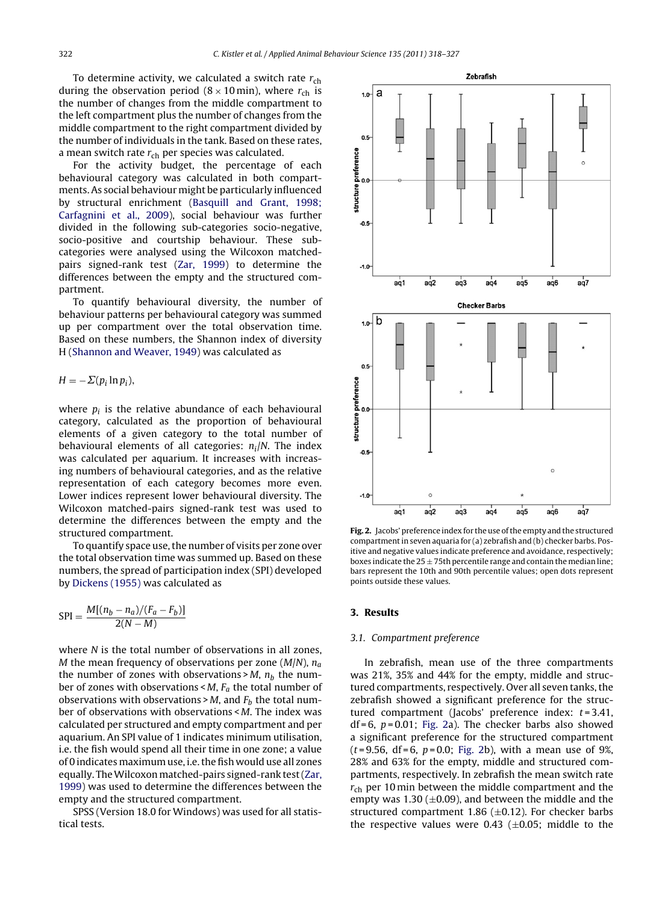<span id="page-4-0"></span>To determine activity, we calculated a switch rate  $r_{ch}$ during the observation period ( $8 \times 10$  min), where  $r_{ch}$  is the number of changes from the middle compartment to the left compartment plus the number of changes from the middle compartment to the right compartment divided by the number of individuals in the tank. Based on these rates, a mean switch rate  $r_{ch}$  per species was calculated.

For the activity budget, the percentage of each behavioural category was calculated in both compartments.As social behaviour might be particularly influenced by structural enrichment ([Basquill](#page-8-16) [and](#page-8-16) [Grant,](#page-8-16) [1998;](#page-8-16) [Carfagnini](#page-8-16) et [al.,](#page-8-16) [2009\),](#page-8-16) social behaviour was further divided in the following sub-categories socio-negative, socio-positive and courtship behaviour. These subcategories were analysed using the Wilcoxon matchedpairs signed-rank test [\(Zar,](#page-9-10) [1999\)](#page-9-10) to determine the differences between the empty and the structured compartment.

To quantify behavioural diversity, the number of behaviour patterns per behavioural category was summed up per compartment over the total observation time. Based on these numbers, the Shannon index of diversity H [\(Shannon](#page-9-11) [and](#page-9-11) [Weaver,](#page-9-11) [1949\)](#page-9-11) was calculated as

$$
H=-\Sigma(p_i\ln p_i),
$$

where  $p_i$  is the relative abundance of each behavioural category, calculated as the proportion of behavioural elements of a given category to the total number of behavioural elements of all categories:  $n_i/N$ . The index was calculated per aquarium. It increases with increasing numbers of behavioural categories, and as the relative representation of each category becomes more even. Lower indices represent lower behavioural diversity. The Wilcoxon matched-pairs signed-rank test was used to determine the differences between the empty and the structured compartment.

To quantify space use, the number of visits per zone over the total observation time was summed up. Based on these numbers, the spread of participation index (SPI) developed by [Dickens](#page-8-17) [\(1955\)](#page-8-17) was calculated as

$$
SPI = \frac{M[(n_b - n_a)/(F_a - F_b)]}{2(N - M)}
$$

where N is the total number of observations in all zones, M the mean frequency of observations per zone ( $M/N$ ),  $n_a$ the number of zones with observations >  $M$ ,  $n_b$  the number of zones with observations  $\leq M$ ,  $F_a$  the total number of observations with observations >  $M$ , and  $F_b$  the total number of observations with observations < M. The index was calculated per structured and empty compartment and per aquarium. An SPI value of 1 indicates minimum utilisation, i.e. the fish would spend all their time in one zone; a value of 0 indicates maximum use, i.e.the fish would use all zones equally. TheWilcoxon matched-pairs signed-rank test([Zar,](#page-9-10) [1999\)](#page-9-10) was used to determine the differences between the empty and the structured compartment.

SPSS (Version 18.0 for Windows) was used for all statistical tests.



Fig. 2. Jacobs' preference index for the use of the empty and the structured compartment in seven aquaria for (a) zebrafish and (b) checker barbs. Positive and negative values indicate preference and avoidance, respectively; boxes indicate the  $25 \pm 75$ th percentile range and contain the median line; bars represent the 10th and 90th percentile values; open dots represent points outside these values.

## 3. Results

#### 3.1. Compartment preference

In zebrafish, mean use of the three compartments was 21%, 35% and 44% for the empty, middle and structured compartments, respectively. Over all seven tanks, the zebrafish showed a significant preference for the structured compartment (Jacobs' preference index:  $t = 3.41$ ,  $df = 6$ ,  $p = 0.01$ ; [Fig.](#page-4-0) 2a). The checker barbs also showed a significant preference for the structured compartment  $(t = 9.56, df = 6, p = 0.0; Fig. 2b)$  $(t = 9.56, df = 6, p = 0.0; Fig. 2b)$  $(t = 9.56, df = 6, p = 0.0; Fig. 2b)$ , with a mean use of 9%, 28% and 63% for the empty, middle and structured compartments, respectively. In zebrafish the mean switch rate  $r_{ch}$  per 10 min between the middle compartment and the empty was  $1.30$  ( $\pm 0.09$ ), and between the middle and the structured compartment 1.86  $(\pm 0.12)$ . For checker barbs the respective values were 0.43 ( $\pm$ 0.05; middle to the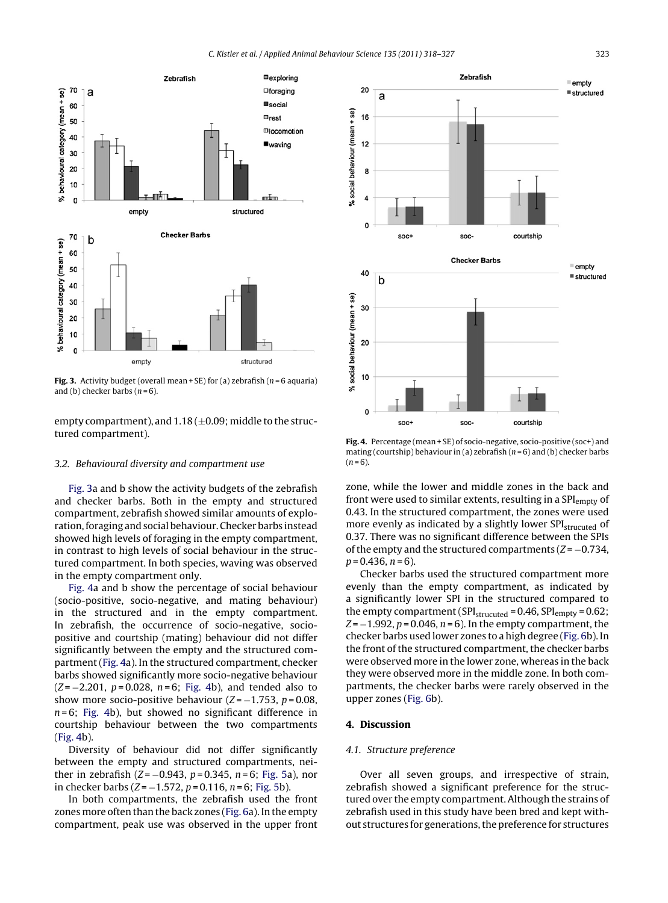<span id="page-5-0"></span>

Fig. 3. Activity budget (overall mean + SE) for (a) zebrafish ( $n = 6$  aquaria) and (b) checker barbs  $(n = 6)$ .

empty compartment), and  $1.18 (\pm 0.09)$ ; middle to the structured compartment).

#### 3.2. Behavioural diversity and compartment use

[Fig.](#page-5-0) 3a and b show the activity budgets of the zebrafish and checker barbs. Both in the empty and structured compartment, zebrafish showed similar amounts of exploration,foraging and social behaviour.Checker barbs instead showed high levels of foraging in the empty compartment, in contrast to high levels of social behaviour in the structured compartment. In both species, waving was observed in the empty compartment only.

[Fig.](#page-5-0) 4a and b show the percentage of social behaviour (socio-positive, socio-negative, and mating behaviour) in the structured and in the empty compartment. In zebrafish, the occurrence of socio-negative, sociopositive and courtship (mating) behaviour did not differ significantly between the empty and the structured compartment ([Fig.](#page-5-0) 4a). In the structured compartment, checker barbs showed significantly more socio-negative behaviour  $(Z = -2.201, p = 0.028, n = 6; Fig. 4b)$  $(Z = -2.201, p = 0.028, n = 6; Fig. 4b)$  $(Z = -2.201, p = 0.028, n = 6; Fig. 4b)$ , and tended also to show more socio-positive behaviour  $(Z = -1.753, p = 0.08,$  $n=6$ ; [Fig.](#page-5-0) 4b), but showed no significant difference in courtship behaviour between the two compartments [\(Fig.](#page-5-0) 4b).

Diversity of behaviour did not differ significantly between the empty and structured compartments, neither in zebrafish ( $Z = -0.943$ ,  $p = 0.345$ ,  $n = 6$ ; [Fig.](#page-6-0) 5a), nor in checker barbs ( $Z = -1.572$ ,  $p = 0.116$ ,  $n = 6$ ; [Fig.](#page-6-0) 5b).

In both compartments, the zebrafish used the front zones more often than the back zones [\(Fig.](#page-6-0) 6a). In the empty compartment, peak use was observed in the upper front



Fig. 4. Percentage (mean + SE) of socio-negative, socio-positive (soc+) and mating (courtship) behaviour in (a) zebrafish ( $n = 6$ ) and (b) checker barbs  $(n=6)$ .

zone, while the lower and middle zones in the back and front were used to similar extents, resulting in a SPI<sub>empty</sub> of 0.43. In the structured compartment, the zones were used more evenly as indicated by a slightly lower SPI<sub>strucuted</sub> of 0.37. There was no significant difference between the SPIs of the empty and the structured compartments  $(Z = -0.734,$  $p = 0.436$ ,  $n = 6$ ).

Checker barbs used the structured compartment more evenly than the empty compartment, as indicated by a significantly lower SPI in the structured compared to the empty compartment ( $SPI<sub>structured</sub> = 0.46$ ,  $SPI<sub>empty</sub> = 0.62$ ;  $Z = -1.992$ ,  $p = 0.046$ ,  $n = 6$ ). In the empty compartment, the checker barbs used lower zones to a high degree [\(Fig.](#page-6-0) 6b). In the front of the structured compartment, the checker barbs were observed more in the lower zone, whereas in the back they were observed more in the middle zone. In both compartments, the checker barbs were rarely observed in the upper zones [\(Fig.](#page-6-0) 6b).

#### 4. Discussion

## 4.1. Structure preference

Over all seven groups, and irrespective of strain, zebrafish showed a significant preference for the structured over the empty compartment. Although the strains of zebrafish used in this study have been bred and kept without structures for generations,the preference for structures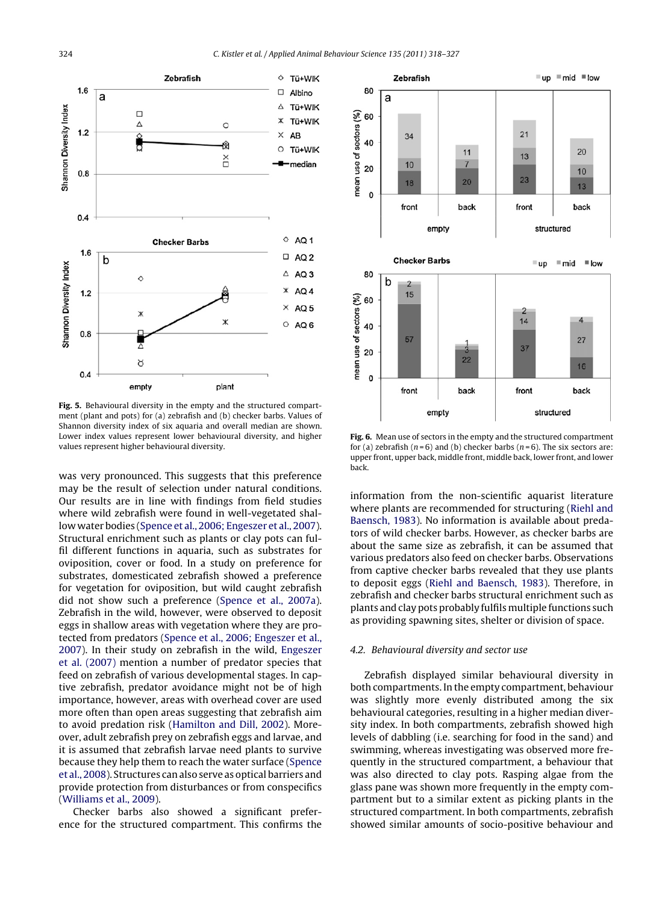<span id="page-6-0"></span>

Fig. 5. Behavioural diversity in the empty and the structured compartment (plant and pots) for (a) zebrafish and (b) checker barbs. Values of Shannon diversity index of six aquaria and overall median are shown. Lower index values represent lower behavioural diversity, and higher values represent higher behavioural diversity.

was very pronounced. This suggests that this preference may be the result of selection under natural conditions. Our results are in line with findings from field studies where wild zebrafish were found in well-vegetated shallow water bodies [\(Spence](#page-9-12) et [al.,](#page-9-12) [2006;](#page-9-12) [Engeszer](#page-9-12) et [al.,](#page-9-12) [2007\).](#page-9-12) Structural enrichment such as plants or clay pots can fulfil different functions in aquaria, such as substrates for oviposition, cover or food. In a study on preference for substrates, domesticated zebrafish showed a preference for vegetation for oviposition, but wild caught zebrafish did not show such a preference ([Spence](#page-9-1) et [al.,](#page-9-1) [2007a\).](#page-9-1) Zebrafish in the wild, however, were observed to deposit eggs in shallow areas with vegetation where they are protected from predators ([Spence](#page-9-12) et [al.,](#page-9-12) [2006;](#page-9-12) [Engeszer](#page-9-12) et [al.,](#page-9-12) [2007\).](#page-9-12) In their study on zebrafish in the wild, [Engeszer](#page-8-18) et [al.](#page-8-18) [\(2007\)](#page-8-18) mention a number of predator species that feed on zebrafish of various developmental stages. In captive zebrafish, predator avoidance might not be of high importance, however, areas with overhead cover are used more often than open areas suggesting that zebrafish aim to avoid predation risk ([Hamilton](#page-8-19) [and](#page-8-19) [Dill,](#page-8-19) [2002\).](#page-8-19) Moreover, adult zebrafish prey on zebrafish eggs and larvae, and it is assumed that zebrafish larvae need plants to survive because they help them to reach the water surface [\(Spence](#page-9-6) et [al.,](#page-9-6) [2008\).](#page-9-6) Structures can also serve as optical barriers and provide protection from disturbances or from conspecifics [\(Williams](#page-9-13) et [al.,](#page-9-13) [2009\).](#page-9-13)

Checker barbs also showed a significant preference for the structured compartment. This confirms the



Fig. 6. Mean use of sectors in the empty and the structured compartment for (a) zebrafish ( $n = 6$ ) and (b) checker barbs ( $n = 6$ ). The six sectors are: upper front, upper back, middle front, middle back, lower front, and lower back.

information from the non-scientific aquarist literature where plants are recommended for structuring [\(Riehl](#page-9-8) [and](#page-9-8) [Baensch,](#page-9-8) [1983\).](#page-9-8) No information is available about predators of wild checker barbs. However, as checker barbs are about the same size as zebrafish, it can be assumed that various predators also feed on checker barbs. Observations from captive checker barbs revealed that they use plants to deposit eggs [\(Riehl](#page-9-8) [and](#page-9-8) [Baensch,](#page-9-8) [1983\).](#page-9-8) Therefore, in zebrafish and checker barbs structural enrichment such as plants and clay pots probably fulfilsmultiple functions such as providing spawning sites, shelter or division of space.

#### 4.2. Behavioural diversity and sector use

Zebrafish displayed similar behavioural diversity in both compartments. In the empty compartment, behaviour was slightly more evenly distributed among the six behavioural categories, resulting in a higher median diversity index. In both compartments, zebrafish showed high levels of dabbling (i.e. searching for food in the sand) and swimming, whereas investigating was observed more frequently in the structured compartment, a behaviour that was also directed to clay pots. Rasping algae from the glass pane was shown more frequently in the empty compartment but to a similar extent as picking plants in the structured compartment. In both compartments, zebrafish showed similar amounts of socio-positive behaviour and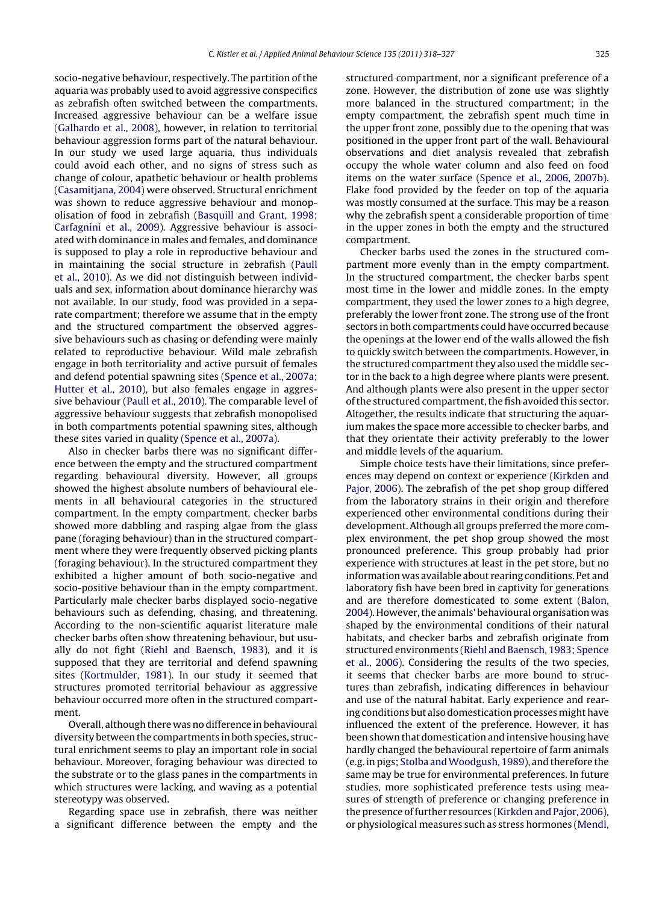socio-negative behaviour, respectively. The partition of the aquaria was probably used to avoid aggressive conspecifics as zebrafish often switched between the compartments. Increased aggressive behaviour can be a welfare issue [\(Galhardo](#page-8-12) et [al.,](#page-8-12) [2008\),](#page-8-12) however, in relation to territorial behaviour aggression forms part of the natural behaviour. In our study we used large aquaria, thus individuals could avoid each other, and no signs of stress such as change of colour, apathetic behaviour or health problems [\(Casamitjana,](#page-8-8) [2004\)](#page-8-8) were observed. Structural enrichment was shown to reduce aggressive behaviour and monopolisation of food in zebrafish ([Basquill](#page-8-16) [and](#page-8-16) [Grant,](#page-8-16) [1998;](#page-8-16) [Carfagnini](#page-8-16) et [al.,](#page-8-16) [2009\).](#page-8-16) Aggressive behaviour is associated with dominance in males and females, and dominance is supposed to play a role in reproductive behaviour and in maintaining the social structure in zebrafish ([Paull](#page-9-14) et [al.,](#page-9-14) [2010\).](#page-9-14) As we did not distinguish between individuals and sex, information about dominance hierarchy was not available. In our study, food was provided in a separate compartment; therefore we assume that in the empty and the structured compartment the observed aggressive behaviours such as chasing or defending were mainly related to reproductive behaviour. Wild male zebrafish engage in both territoriality and active pursuit of females and defend potential spawning sites ([Spence](#page-9-1) et [al.,](#page-9-1) [2007a;](#page-9-1) [Hutter](#page-9-1) et [al.,](#page-9-1) [2010\),](#page-9-1) but also females engage in aggressive behaviour [\(Paull](#page-9-14) et [al.,](#page-9-14) [2010\).](#page-9-14) The comparable level of aggressive behaviour suggests that zebrafish monopolised in both compartments potential spawning sites, although these sites varied in quality ([Spence](#page-9-1) et [al.,](#page-9-1) [2007a\).](#page-9-1)

Also in checker barbs there was no significant difference between the empty and the structured compartment regarding behavioural diversity. However, all groups showed the highest absolute numbers of behavioural elements in all behavioural categories in the structured compartment. In the empty compartment, checker barbs showed more dabbling and rasping algae from the glass pane (foraging behaviour) than in the structured compartment where they were frequently observed picking plants (foraging behaviour). In the structured compartment they exhibited a higher amount of both socio-negative and socio-positive behaviour than in the empty compartment. Particularly male checker barbs displayed socio-negative behaviours such as defending, chasing, and threatening. According to the non-scientific aquarist literature male checker barbs often show threatening behaviour, but usually do not fight [\(Riehl](#page-9-8) [and](#page-9-8) [Baensch,](#page-9-8) [1983\),](#page-9-8) and it is supposed that they are territorial and defend spawning sites [\(Kortmulder,](#page-8-20) [1981\).](#page-8-20) In our study it seemed that structures promoted territorial behaviour as aggressive behaviour occurred more often in the structured compartment.

Overall, although there was no difference in behavioural diversity between the compartments in both species, structural enrichment seems to play an important role in social behaviour. Moreover, foraging behaviour was directed to the substrate or to the glass panes in the compartments in which structures were lacking, and waving as a potential stereotypy was observed.

Regarding space use in zebrafish, there was neither a significant difference between the empty and the structured compartment, nor a significant preference of a zone. However, the distribution of zone use was slightly more balanced in the structured compartment; in the empty compartment, the zebrafish spent much time in the upper front zone, possibly due to the opening that was positioned in the upper front part of the wall. Behavioural observations and diet analysis revealed that zebrafish occupy the whole water column and also feed on food items on the water surface [\(Spence](#page-9-12) et [al.,](#page-9-12) [2006,](#page-9-12) [2007b\).](#page-9-12) Flake food provided by the feeder on top of the aquaria was mostly consumed at the surface. This may be a reason why the zebrafish spent a considerable proportion of time in the upper zones in both the empty and the structured compartment.

Checker barbs used the zones in the structured compartment more evenly than in the empty compartment. In the structured compartment, the checker barbs spent most time in the lower and middle zones. In the empty compartment, they used the lower zones to a high degree, preferably the lower front zone. The strong use of the front sectors in both compartments could have occurred because the openings at the lower end of the walls allowed the fish to quickly switch between the compartments. However, in the structured compartment they also used the middle sector in the back to a high degree where plants were present. And although plants were also present in the upper sector of the structured compartment, the fish avoided this sector. Altogether, the results indicate that structuring the aquarium makes the space more accessible to checker barbs, and that they orientate their activity preferably to the lower and middle levels of the aquarium.

Simple choice tests have their limitations, since preferences may depend on context or experience ([Kirkden](#page-8-21) [and](#page-8-21) [Pajor,](#page-8-21) [2006\).](#page-8-21) The zebrafish of the pet shop group differed from the laboratory strains in their origin and therefore experienced other environmental conditions during their development. Although all groups preferred the more complex environment, the pet shop group showed the most pronounced preference. This group probably had prior experience with structures at least in the pet store, but no information was available about rearing conditions. Pet and laboratory fish have been bred in captivity for generations and are therefore domesticated to some extent [\(Balon,](#page-8-22) [2004\).](#page-8-22) However, the animals' behavioural organisation was shaped by the environmental conditions of their natural habitats, and checker barbs and zebrafish originate from structured environments ([Riehl](#page-9-8) [and](#page-9-8) [Baensch,](#page-9-8) [1983;](#page-9-8) [Spence](#page-9-8) et [al.,](#page-9-8) [2006\).](#page-9-8) Considering the results of the two species, it seems that checker barbs are more bound to structures than zebrafish, indicating differences in behaviour and use of the natural habitat. Early experience and rearing conditions but also domestication processes might have influenced the extent of the preference. However, it has been shown that domestication and intensive housing have hardly changed the behavioural repertoire of farm animals (e.g. in pigs; [Stolba](#page-9-14) [andWoodgush,](#page-9-14) [1989\),](#page-9-14) and therefore the same may be true for environmental preferences. In future studies, more sophisticated preference tests using measures of strength of preference or changing preference in the presence offurther resources [\(Kirkden](#page-8-21) [and](#page-8-21) [Pajor,](#page-8-21) [2006\),](#page-8-21) or physiological measures such as stress hormones [\(Mendl,](#page-9-15)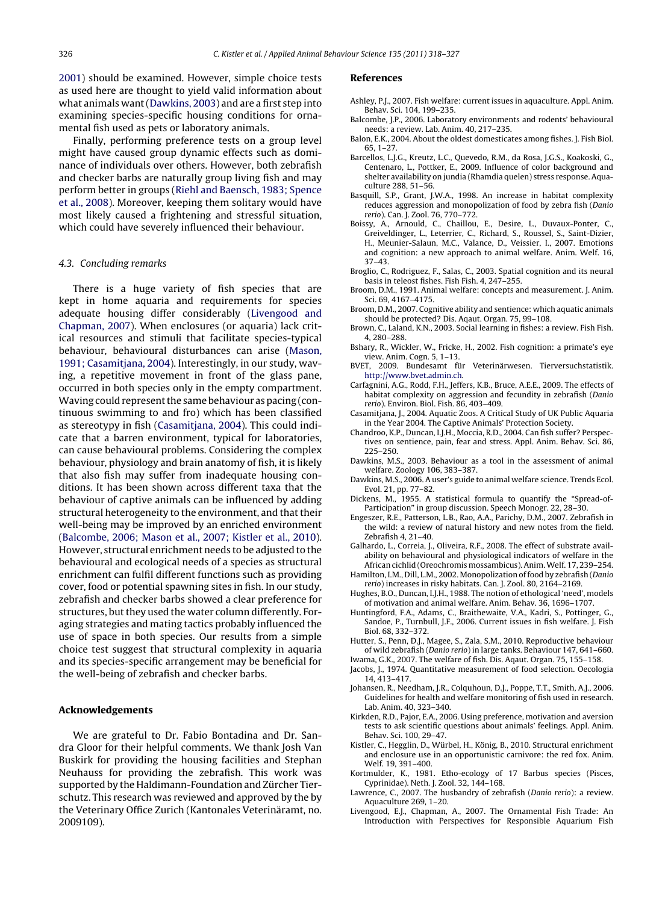<span id="page-8-23"></span><span id="page-8-22"></span><span id="page-8-13"></span><span id="page-8-7"></span>[2001\)](#page-9-15) should be examined. However, simple choice tests as used here are thought to yield valid information about what animals want[\(Dawkins,](#page-8-14) [2003\)](#page-8-14) and are a first step into examining species-specific housing conditions for ornamental fish used as pets or laboratory animals.

<span id="page-8-16"></span>Finally, performing preference tests on a group level might have caused group dynamic effects such as dominance of individuals over others. However, both zebrafish and checker barbs are naturally group living fish and may perform better in groups [\(Riehl](#page-9-8) [and](#page-9-8) [Baensch,](#page-9-8) [1983;](#page-9-8) [Spence](#page-9-8) et [al.,](#page-9-8) [2008\).](#page-9-8) Moreover, keeping them solitary would have most likely caused a frightening and stressful situation, which could have severely influenced their behaviour.

## <span id="page-8-6"></span><span id="page-8-5"></span><span id="page-8-4"></span>4.3. Concluding remarks

<span id="page-8-18"></span><span id="page-8-17"></span><span id="page-8-14"></span><span id="page-8-12"></span><span id="page-8-11"></span><span id="page-8-8"></span><span id="page-8-3"></span><span id="page-8-2"></span>There is a huge variety of fish species that are kept in home aquaria and requirements for species adequate housing differ considerably ([Livengood](#page-8-9) [and](#page-8-9) [Chapman,](#page-8-9) [2007\).](#page-8-9) When enclosures (or aquaria) lack critical resources and stimuli that facilitate species-typical behaviour, behavioural disturbances can arise ([Mason,](#page-9-16) [1991;](#page-9-16) [Casamitjana,](#page-9-16) [2004\).](#page-9-16) Interestingly, in our study, waving, a repetitive movement in front of the glass pane, occurred in both species only in the empty compartment. Waving could represent the same behaviour as pacing (continuous swimming to and fro) which has been classified as stereotypy in fish [\(Casamitjana,](#page-8-8) [2004\).](#page-8-8) This could indicate that a barren environment, typical for laboratories, can cause behavioural problems. Considering the complex behaviour, physiology and brain anatomy of fish, it is likely that also fish may suffer from inadequate housing conditions. It has been shown across different taxa that the behaviour of captive animals can be influenced by adding structural heterogeneity to the environment, and that their well-being may be improved by an enriched environment [\(Balcombe,](#page-8-23) [2006;](#page-8-23) [Mason](#page-8-23) et [al.,](#page-8-23) [2007;](#page-8-23) [Kistler](#page-8-23) et [al.,](#page-8-23) [2010\).](#page-8-23) However, structural enrichment needs to be adjusted to the behavioural and ecological needs of a species as structural enrichment can fulfil different functions such as providing cover, food or potential spawning sites in fish. In our study, zebrafish and checker barbs showed a clear preference for structures, but they used the water column differently. Foraging strategies and mating tactics probably influenced the use of space in both species. Our results from a simple choice test suggest that structural complexity in aquaria and its species-specific arrangement may be beneficial for the well-being of zebrafish and checker barbs.

#### <span id="page-8-21"></span><span id="page-8-20"></span><span id="page-8-19"></span><span id="page-8-15"></span><span id="page-8-10"></span><span id="page-8-1"></span><span id="page-8-0"></span>Acknowledgements

<span id="page-8-9"></span>We are grateful to Dr. Fabio Bontadina and Dr. Sandra Gloor for their helpful comments. We thank Josh Van Buskirk for providing the housing facilities and Stephan Neuhauss for providing the zebrafish. This work was supported by the Haldimann-Foundation and Zürcher Tierschutz. This research was reviewed and approved by the by the Veterinary Office Zurich (Kantonales Veterinäramt, no. 2009109).

#### References

- Ashley, P.J., 2007. Fish welfare: current issues in aquaculture. Appl. Anim. Behav. Sci. 104, 199–235.
- Balcombe, J.P., 2006. Laboratory environments and rodents' behavioural needs: a review. Lab. Anim. 40, 217–235.
- Balon, E.K., 2004. About the oldest domesticates among fishes. J. Fish Biol. 65, 1–27.
- Barcellos, L.J.G., Kreutz, L.C., Quevedo, R.M., da Rosa, J.G.S., Koakoski, G., Centenaro, L., Pottker, E., 2009. Influence of color background and shelter availability on jundia (Rhamdia quelen) stress response. Aquaculture 288, 51–56.
- Basquill, S.P., Grant, J.W.A., 1998. An increase in habitat complexity reduces aggression and monopolization of food by zebra fish (Danio rerio). Can. J. Zool. 76, 770–772.
- Boissy, A., Arnould, C., Chaillou, E., Desire, L., Duvaux-Ponter, C., Greiveldinger, L., Leterrier, C., Richard, S., Roussel, S., Saint-Dizier, H., Meunier-Salaun, M.C., Valance, D., Veissier, I., 2007. Emotions and cognition: a new approach to animal welfare. Anim. Welf. 16, 37–43.
- Broglio, C., Rodriguez, F., Salas, C., 2003. Spatial cognition and its neural basis in teleost fishes. Fish Fish. 4, 247–255.
- Broom, D.M., 1991. Animal welfare: concepts and measurement. J. Anim. Sci. 69, 4167–4175.
- Broom, D.M., 2007. Cognitive ability and sentience: which aquatic animals should be protected? Dis. Aqaut. Organ. 75, 99–108.
- Brown, C., Laland, K.N., 2003. Social learning in fishes: a review. Fish Fish. 4, 280–288.
- Bshary, R., Wickler, W., Fricke, H., 2002. Fish cognition: a primate's eye view. Anim. Cogn. 5, 1–13.
- BVET, 2009. Bundesamt für Veterinärwesen. Tierversuchstatistik. [http://www.bvet.admin.ch.](http://www.bvet.admin.ch/)
- Carfagnini, A.G., Rodd, F.H., Jeffers, K.B., Bruce, A.E.E., 2009. The effects of habitat complexity on aggression and fecundity in zebrafish (Danio rerio). Environ. Biol. Fish. 86, 403–409.
- Casamitjana, J., 2004. Aquatic Zoos. A Critical Study of UK Public Aquaria in the Year 2004. The Captive Animals' Protection Society.
- Chandroo, K.P., Duncan, I.J.H., Moccia, R.D., 2004. Can fish suffer? Perspectives on sentience, pain, fear and stress. Appl. Anim. Behav. Sci. 86, 225–250.
- Dawkins, M.S., 2003. Behaviour as a tool in the assessment of animal welfare. Zoology 106, 383–387.
- Dawkins, M.S., 2006. A user's guide to animal welfare science. Trends Ecol. Evol. 21, pp. 77–82.
- Dickens, M., 1955. A statistical formula to quantify the "Spread-of-Participation" in group discussion. Speech Monogr. 22, 28–30.
- Engeszer, R.E., Patterson, L.B., Rao, A.A., Parichy, D.M., 2007. Zebrafish in the wild: a review of natural history and new notes from the field. Zebrafish 4, 21–40.
- Galhardo, L., Correia, J., Oliveira, R.F., 2008. The effect of substrate availability on behavioural and physiological indicators of welfare in the African cichlid (Oreochromis mossambicus). Anim.Welf. 17, 239–254.
- Hamilton, I.M., Dill, L.M., 2002. Monopolization of food by zebrafish (Danio rerio) increases in risky habitats. Can. J. Zool. 80, 2164–2169.
- Hughes, B.O., Duncan, I.J.H., 1988. The notion of ethological 'need', models of motivation and animal welfare. Anim. Behav. 36, 1696–1707.
- Huntingford, F.A., Adams, C., Braithewaite, V.A., Kadri, S., Pottinger, G., Sandoe, P., Turnbull, J.F., 2006. Current issues in fish welfare. J. Fish Biol. 68, 332–372.
- Hutter, S., Penn, D.J., Magee, S., Zala, S.M., 2010. Reproductive behaviour of wild zebrafish (Danio rerio) in large tanks. Behaviour 147, 641–660.
- Iwama, G.K., 2007. The welfare of fish. Dis. Aqaut. Organ. 75, 155–158.
- Jacobs, J., 1974. Quantitative measurement of food selection. Oecologia 14, 413–417.
- Johansen, R., Needham, J.R., Colquhoun, D.J., Poppe, T.T., Smith, A.J., 2006. Guidelines for health and welfare monitoring of fish used in research. Lab. Anim. 40, 323–340.
- Kirkden, R.D., Pajor, E.A., 2006. Using preference, motivation and aversion tests to ask scientific questions about animals' feelings. Appl. Anim. Behav. Sci. 100, 29–47.
- Kistler, C., Hegglin, D., Würbel, H., König, B., 2010. Structural enrichment and enclosure use in an opportunistic carnivore: the red fox. Anim. Welf. 19, 391–400.
- Kortmulder, K., 1981. Etho-ecology of 17 Barbus species (Pisces, Cyprinidae). Neth. J. Zool. 32, 144–168.
- Lawrence, C., 2007. The husbandry of zebrafish (Danio rerio): a review. Aquaculture 269, 1–20.
- Livengood, E.J., Chapman, A., 2007. The Ornamental Fish Trade: An Introduction with Perspectives for Responsible Aquarium Fish